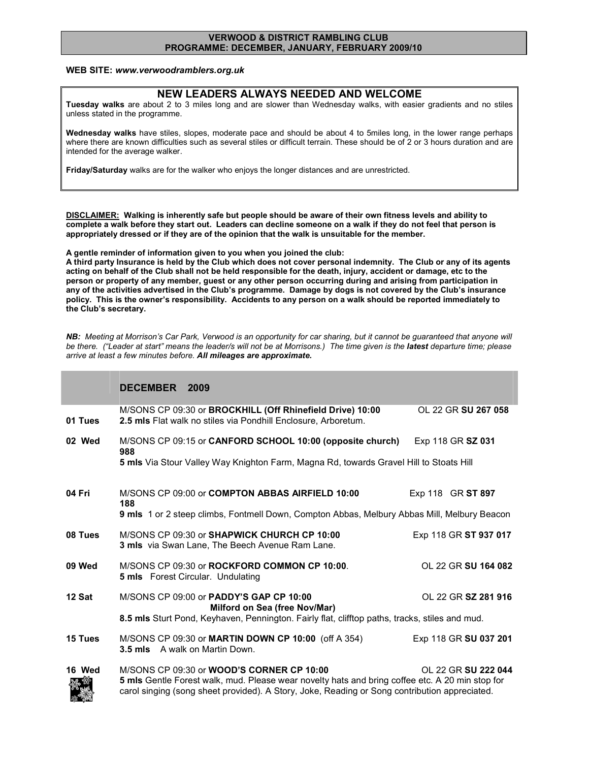## VERWOOD & DISTRICT RAMBLING CLUB PROGRAMME: DECEMBER, JANUARY, FEBRUARY 2009/10

## WEB SITE: www.verwoodramblers.org.uk

## NEW LEADERS ALWAYS NEEDED AND WELCOME

Tuesday walks are about 2 to 3 miles long and are slower than Wednesday walks, with easier gradients and no stiles unless stated in the programme.

Wednesday walks have stiles, slopes, moderate pace and should be about 4 to 5miles long, in the lower range perhaps where there are known difficulties such as several stiles or difficult terrain. These should be of 2 or 3 hours duration and are intended for the average walker.

Friday/Saturday walks are for the walker who enjoys the longer distances and are unrestricted.

DISCLAIMER: Walking is inherently safe but people should be aware of their own fitness levels and ability to complete a walk before they start out. Leaders can decline someone on a walk if they do not feel that person is appropriately dressed or if they are of the opinion that the walk is unsuitable for the member.

A gentle reminder of information given to you when you joined the club:

A third party Insurance is held by the Club which does not cover personal indemnity. The Club or any of its agents acting on behalf of the Club shall not be held responsible for the death, injury, accident or damage, etc to the person or property of any member, guest or any other person occurring during and arising from participation in any of the activities advertised in the Club's programme. Damage by dogs is not covered by the Club's insurance policy. This is the owner's responsibility. Accidents to any person on a walk should be reported immediately to the Club's secretary.

NB: Meeting at Morrison's Car Park, Verwood is an opportunity for car sharing, but it cannot be guaranteed that anyone will be there. ("Leader at start" means the leader/s will not be at Morrisons.) The time given is the latest departure time; please arrive at least a few minutes before. All mileages are approximate.

## DECEMBER 2009

| 01 Tues        | M/SONS CP 09:30 or BROCKHILL (Off Rhinefield Drive) 10:00<br>2.5 mls Flat walk no stiles via Pondhill Enclosure, Arboretum.                                                                                                                          | OI 22 GR SU 267 058   |  |
|----------------|------------------------------------------------------------------------------------------------------------------------------------------------------------------------------------------------------------------------------------------------------|-----------------------|--|
| 02 Wed         | M/SONS CP 09:15 or CANFORD SCHOOL 10:00 (opposite church)<br>988                                                                                                                                                                                     | Exp 118 GR SZ 031     |  |
|                | 5 mls Via Stour Valley Way Knighton Farm, Magna Rd, towards Gravel Hill to Stoats Hill                                                                                                                                                               |                       |  |
| 04 Fri         | M/SONS CP 09:00 or <b>COMPTON ABBAS AIRFIELD 10:00</b><br>188                                                                                                                                                                                        | Exp 118 GR ST 897     |  |
|                | 9 mls 1 or 2 steep climbs, Fontmell Down, Compton Abbas, Melbury Abbas Mill, Melbury Beacon                                                                                                                                                          |                       |  |
| 08 Tues        | M/SONS CP 09:30 or SHAPWICK CHURCH CP 10:00<br><b>3 mls</b> via Swan Lane, The Beech Avenue Ram Lane.                                                                                                                                                | Exp 118 GR ST 937 017 |  |
| 09 Wed         | M/SONS CP 09:30 or ROCKFORD COMMON CP 10:00<br><b>5 mls</b> Forest Circular. Undulating                                                                                                                                                              | OL 22 GR SU 164 082   |  |
| 12 Sat         | M/SONS CP 09:00 or <b>PADDY'S GAP CP 10:00</b><br>Milford on Sea (free Nov/Mar)                                                                                                                                                                      | OI 22 GR SZ 281 916   |  |
|                | 8.5 mls Sturt Pond, Keyhaven, Pennington. Fairly flat, clifftop paths, tracks, stiles and mud.                                                                                                                                                       |                       |  |
| <b>15 Tues</b> | M/SONS CP 09:30 or MARTIN DOWN CP 10:00 (off A 354)<br><b>3.5 mls</b> A walk on Martin Down.                                                                                                                                                         | Exp 118 GR SU 037 201 |  |
| 16 Wed         | M/SONS CP 09:30 or <b>WOOD'S CORNER CP 10:00</b><br>5 mls Gentle Forest walk, mud. Please wear novelty hats and bring coffee etc. A 20 min stop for<br>carol singing (song sheet provided). A Story, Joke, Reading or Song contribution appreciated. | OL 22 GR SU 222 044   |  |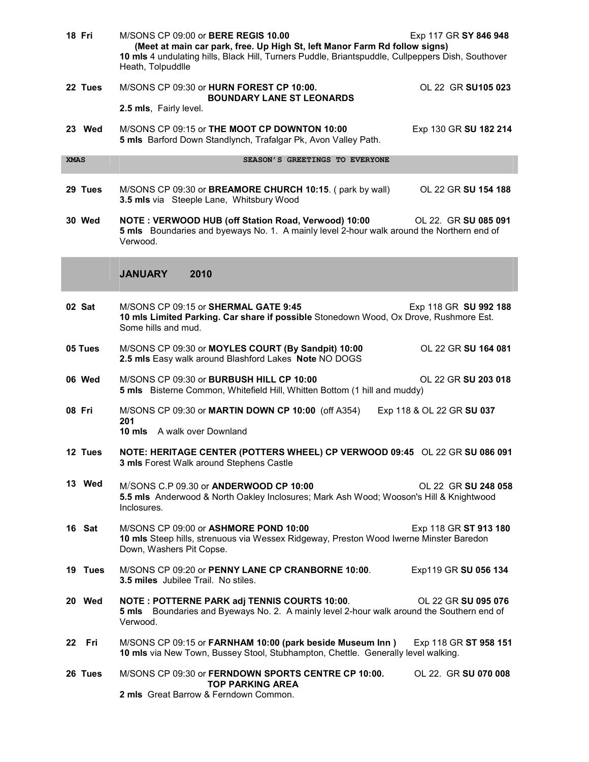|             | 18 Fri  | M/SONS CP 09:00 or BERE REGIS 10.00<br>Exp 117 GR SY 846 948<br>(Meet at main car park, free. Up High St, left Manor Farm Rd follow signs)<br>10 mls 4 undulating hills, Black Hill, Turners Puddle, Briantspuddle, Cullpeppers Dish, Southover<br>Heath, Tolpuddlle |  |  |  |  |
|-------------|---------|----------------------------------------------------------------------------------------------------------------------------------------------------------------------------------------------------------------------------------------------------------------------|--|--|--|--|
|             | 22 Tues | M/SONS CP 09:30 or HURN FOREST CP 10:00.<br>OL 22 GR SU105 023<br><b>BOUNDARY LANE ST LEONARDS</b>                                                                                                                                                                   |  |  |  |  |
|             |         | 2.5 mls, Fairly level.                                                                                                                                                                                                                                               |  |  |  |  |
|             | 23 Wed  | M/SONS CP 09:15 or THE MOOT CP DOWNTON 10:00<br>Exp 130 GR SU 182 214<br>5 mls Barford Down Standlynch, Trafalgar Pk, Avon Valley Path.                                                                                                                              |  |  |  |  |
| <b>XMAS</b> |         | SEASON'S GREETINGS TO EVERYONE                                                                                                                                                                                                                                       |  |  |  |  |
|             | 29 Tues | M/SONS CP 09:30 or BREAMORE CHURCH 10:15. (park by wall)<br>OL 22 GR SU 154 188<br>3.5 mls via Steeple Lane, Whitsbury Wood                                                                                                                                          |  |  |  |  |
|             | 30 Wed  | NOTE: VERWOOD HUB (off Station Road, Verwood) 10:00<br>OL 22. GR SU 085 091<br>5 mls Boundaries and byeways No. 1. A mainly level 2-hour walk around the Northern end of<br>Verwood.                                                                                 |  |  |  |  |
|             |         | <b>JANUARY</b><br>2010                                                                                                                                                                                                                                               |  |  |  |  |
|             | 02 Sat  | M/SONS CP 09:15 or SHERMAL GATE 9:45<br>Exp 118 GR SU 992 188<br>10 mls Limited Parking. Car share if possible Stonedown Wood, Ox Drove, Rushmore Est.<br>Some hills and mud.                                                                                        |  |  |  |  |
|             | 05 Tues | M/SONS CP 09:30 or MOYLES COURT (By Sandpit) 10:00<br>OL 22 GR SU 164 081<br>2.5 mls Easy walk around Blashford Lakes Note NO DOGS                                                                                                                                   |  |  |  |  |
|             | 06 Wed  | M/SONS CP 09:30 or BURBUSH HILL CP 10:00<br>OL 22 GR SU 203 018<br>5 mls Bisterne Common, Whitefield Hill, Whitten Bottom (1 hill and muddy)                                                                                                                         |  |  |  |  |
|             | 08 Fri  | M/SONS CP 09:30 or MARTIN DOWN CP 10:00 (off A354)<br>Exp 118 & OL 22 GR SU 037<br>201<br><b>10 mls</b> A walk over Downland                                                                                                                                         |  |  |  |  |
|             | 12 Tues | NOTE: HERITAGE CENTER (POTTERS WHEEL) CP VERWOOD 09:45 OL 22 GR SU 086 091<br><b>3 mls</b> Forest Walk around Stephens Castle                                                                                                                                        |  |  |  |  |
|             | 13 Wed  | M/SONS C.P 09.30 or ANDERWOOD CP 10:00<br>OL 22 GR SU 248 058<br>5.5 mls Anderwood & North Oakley Inclosures; Mark Ash Wood; Wooson's Hill & Knightwood<br>Inclosures.                                                                                               |  |  |  |  |
|             | 16 Sat  | M/SONS CP 09:00 or ASHMORE POND 10:00<br>Exp 118 GR ST 913 180<br>10 mls Steep hills, strenuous via Wessex Ridgeway, Preston Wood Iwerne Minster Baredon<br>Down, Washers Pit Copse.                                                                                 |  |  |  |  |
|             | 19 Tues | M/SONS CP 09:20 or PENNY LANE CP CRANBORNE 10:00.<br>Exp119 GR SU 056 134<br>3.5 miles Jubilee Trail. No stiles.                                                                                                                                                     |  |  |  |  |
|             | 20 Wed  | <b>NOTE: POTTERNE PARK adj TENNIS COURTS 10:00.</b><br>OL 22 GR SU 095 076<br>Boundaries and Byeways No. 2. A mainly level 2-hour walk around the Southern end of<br>5 mls<br>Verwood.                                                                               |  |  |  |  |
|             | 22 Fri  | M/SONS CP 09:15 or FARNHAM 10:00 (park beside Museum Inn)<br>Exp 118 GR ST 958 151<br>10 mls via New Town, Bussey Stool, Stubhampton, Chettle. Generally level walking.                                                                                              |  |  |  |  |
|             | 26 Tues | M/SONS CP 09:30 or FERNDOWN SPORTS CENTRE CP 10:00.<br>OL 22. GR SU 070 008<br><b>TOP PARKING AREA</b><br>2 mls Great Barrow & Ferndown Common.                                                                                                                      |  |  |  |  |